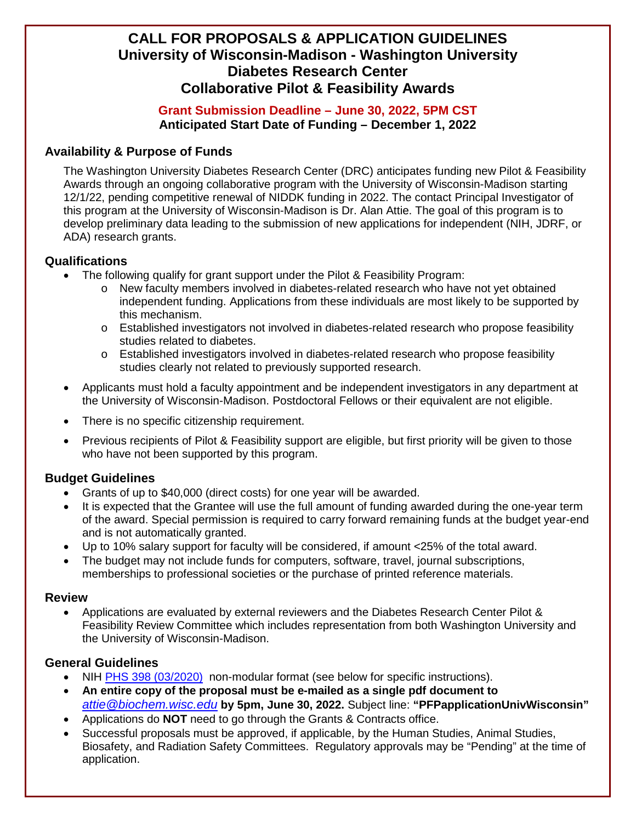# **CALL FOR PROPOSALS & APPLICATION GUIDELINES University of Wisconsin-Madison - Washington University Diabetes Research Center Collaborative Pilot & Feasibility Awards**

## **Grant Submission Deadline – June 30, 2022, 5PM CST Anticipated Start Date of Funding – December 1, 2022**

## **Availability & Purpose of Funds**

The Washington University Diabetes Research Center (DRC) anticipates funding new Pilot & Feasibility Awards through an ongoing collaborative program with the University of Wisconsin-Madison starting 12/1/22, pending competitive renewal of NIDDK funding in 2022. The contact Principal Investigator of this program at the University of Wisconsin-Madison is Dr. Alan Attie. The goal of this program is to develop preliminary data leading to the submission of new applications for independent (NIH, JDRF, or ADA) research grants.

### **Qualifications**

- The following qualify for grant support under the Pilot & Feasibility Program:
	- o New faculty members involved in diabetes-related research who have not yet obtained independent funding. Applications from these individuals are most likely to be supported by this mechanism.
	- o Established investigators not involved in diabetes-related research who propose feasibility studies related to diabetes.
	- o Established investigators involved in diabetes-related research who propose feasibility studies clearly not related to previously supported research.
- Applicants must hold a faculty appointment and be independent investigators in any department at the University of Wisconsin-Madison. Postdoctoral Fellows or their equivalent are not eligible.
- There is no specific citizenship requirement.
- Previous recipients of Pilot & Feasibility support are eligible, but first priority will be given to those who have not been supported by this program.

# **Budget Guidelines**

- Grants of up to \$40,000 (direct costs) for one year will be awarded.
- It is expected that the Grantee will use the full amount of funding awarded during the one-year term of the award. Special permission is required to carry forward remaining funds at the budget year-end and is not automatically granted.
- Up to 10% salary support for faculty will be considered, if amount <25% of the total award.
- The budget may not include funds for computers, software, travel, journal subscriptions, memberships to professional societies or the purchase of printed reference materials.

#### **Review**

• Applications are evaluated by external reviewers and the Diabetes Research Center Pilot & Feasibility Review Committee which includes representation from both Washington University and the University of Wisconsin-Madison.

#### **General Guidelines**

- NIH [PHS 398 \(03/2020\)](http://grants.nih.gov/grants/funding/phs398/phs398.html) non-modular format (see below for specific instructions).
- **An entire copy of the proposal must be e-mailed as a single pdf document to** *[attie@biochem.wisc.edu](mailto:attie@biochem.wisc.edu)* **by 5pm, June 30, 2022.** Subject line: **"PFPapplicationUnivWisconsin"**
- Applications do **NOT** need to go through the Grants & Contracts office.
- Successful proposals must be approved, if applicable, by the Human Studies, Animal Studies, Biosafety, and Radiation Safety Committees. Regulatory approvals may be "Pending" at the time of application.